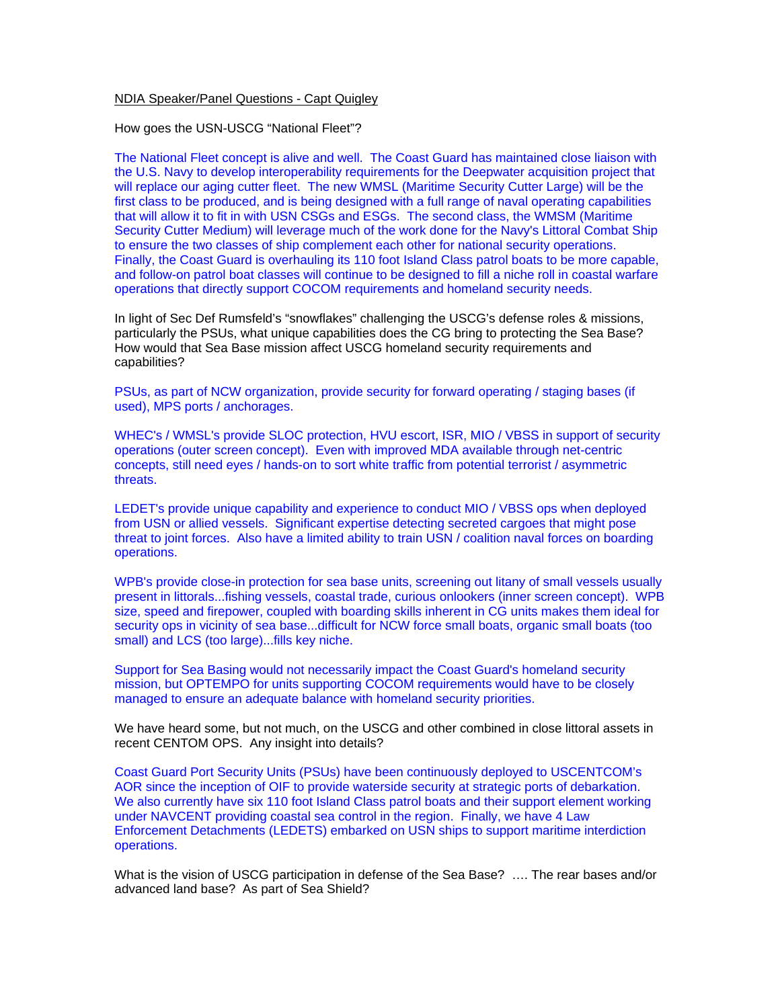## NDIA Speaker/Panel Questions - Capt Quigley

How goes the USN-USCG "National Fleet"?

The National Fleet concept is alive and well. The Coast Guard has maintained close liaison with the U.S. Navy to develop interoperability requirements for the Deepwater acquisition project that will replace our aging cutter fleet. The new WMSL (Maritime Security Cutter Large) will be the first class to be produced, and is being designed with a full range of naval operating capabilities that will allow it to fit in with USN CSGs and ESGs. The second class, the WMSM (Maritime Security Cutter Medium) will leverage much of the work done for the Navy's Littoral Combat Ship to ensure the two classes of ship complement each other for national security operations. Finally, the Coast Guard is overhauling its 110 foot Island Class patrol boats to be more capable, and follow-on patrol boat classes will continue to be designed to fill a niche roll in coastal warfare operations that directly support COCOM requirements and homeland security needs.

In light of Sec Def Rumsfeld's "snowflakes" challenging the USCG's defense roles & missions, particularly the PSUs, what unique capabilities does the CG bring to protecting the Sea Base? How would that Sea Base mission affect USCG homeland security requirements and capabilities?

PSUs, as part of NCW organization, provide security for forward operating / staging bases (if used), MPS ports / anchorages.

WHEC's / WMSL's provide SLOC protection, HVU escort, ISR, MIO / VBSS in support of security operations (outer screen concept). Even with improved MDA available through net-centric concepts, still need eyes / hands-on to sort white traffic from potential terrorist / asymmetric threats.

LEDET's provide unique capability and experience to conduct MIO / VBSS ops when deployed from USN or allied vessels. Significant expertise detecting secreted cargoes that might pose threat to joint forces. Also have a limited ability to train USN / coalition naval forces on boarding operations.

WPB's provide close-in protection for sea base units, screening out litany of small vessels usually present in littorals...fishing vessels, coastal trade, curious onlookers (inner screen concept). WPB size, speed and firepower, coupled with boarding skills inherent in CG units makes them ideal for security ops in vicinity of sea base...difficult for NCW force small boats, organic small boats (too small) and LCS (too large)...fills key niche.

Support for Sea Basing would not necessarily impact the Coast Guard's homeland security mission, but OPTEMPO for units supporting COCOM requirements would have to be closely managed to ensure an adequate balance with homeland security priorities.

We have heard some, but not much, on the USCG and other combined in close littoral assets in recent CENTOM OPS. Any insight into details?

Coast Guard Port Security Units (PSUs) have been continuously deployed to USCENTCOM's AOR since the inception of OIF to provide waterside security at strategic ports of debarkation. We also currently have six 110 foot Island Class patrol boats and their support element working under NAVCENT providing coastal sea control in the region. Finally, we have 4 Law Enforcement Detachments (LEDETS) embarked on USN ships to support maritime interdiction operations.

What is the vision of USCG participation in defense of the Sea Base? …. The rear bases and/or advanced land base? As part of Sea Shield?